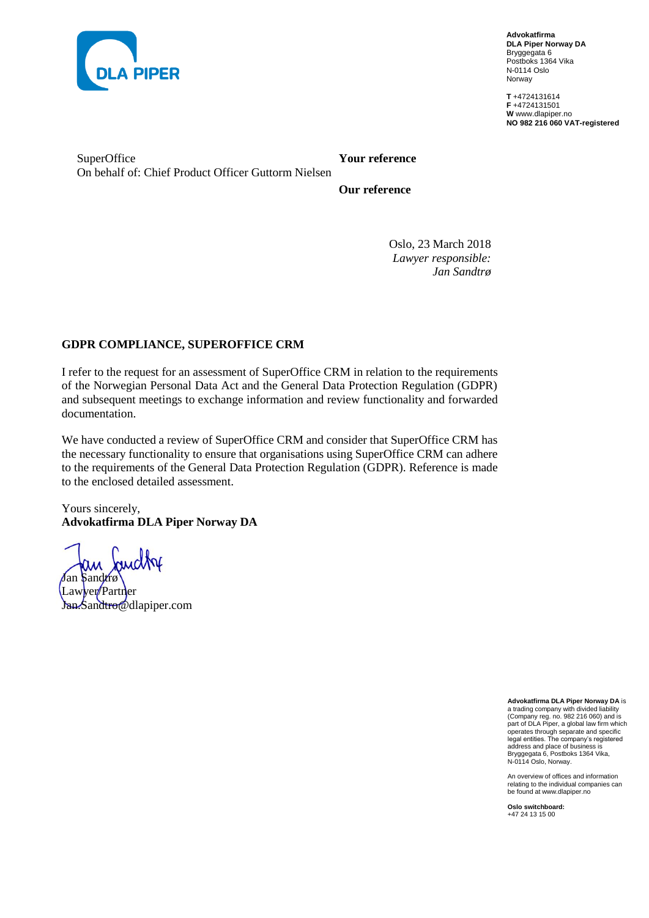

**Advokatfirma DLA Piper Norway DA** Bryggegata 6 Postboks 1364 Vika N-0114 Oslo Norway

**T** +4724131614 **F** +4724131501 **W** www.dlapiper.no **NO 982 216 060 VAT-registered**

SuperOffice On behalf of: Chief Product Officer Guttorm Nielsen

**Your reference**

**Our reference**

Oslo, 23 March 2018 *Lawyer responsible: Jan Sandtrø*

### **GDPR COMPLIANCE, SUPEROFFICE CRM**

I refer to the request for an assessment of SuperOffice CRM in relation to the requirements of the Norwegian Personal Data Act and the General Data Protection Regulation (GDPR) and subsequent meetings to exchange information and review functionality and forwarded documentation.

We have conducted a review of SuperOffice CRM and consider that SuperOffice CRM has the necessary functionality to ensure that organisations using SuperOffice CRM can adhere to the requirements of the General Data Protection Regulation (GDPR). Reference is made to the enclosed detailed assessment.

Yours sincerely, **Advokatfirma DLA Piper Norway DA**

andby Jan Sandtrø Lawyer/Partner Jan.Sandtro@dlapiper.com

**Advokatfirma DLA Piper Norway DA** is a trading company with divided liability (Company reg. no. 982 216 060) and is part of DLA Piper, a global law firm which operates through separate and specific legal entities. The company's registered address and place of business is Bryggegata 6, Postboks 1364 Vika, N-0114 Oslo, Norway.

An overview of offices and information relating to the individual companies can be found at www.dlapiper.no

**Oslo switchboard:** +47 24 13 15 00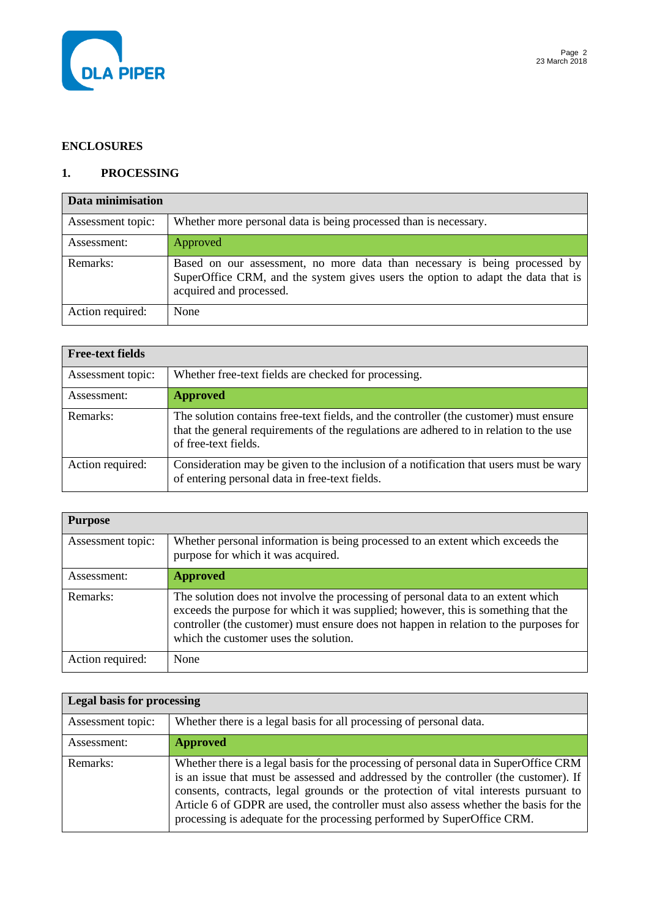

### **ENCLOSURES**

### **1. PROCESSING**

| Data minimisation |                                                                                                                                                                                           |
|-------------------|-------------------------------------------------------------------------------------------------------------------------------------------------------------------------------------------|
| Assessment topic: | Whether more personal data is being processed than is necessary.                                                                                                                          |
| Assessment:       | Approved                                                                                                                                                                                  |
| Remarks:          | Based on our assessment, no more data than necessary is being processed by<br>SuperOffice CRM, and the system gives users the option to adapt the data that is<br>acquired and processed. |
| Action required:  | None                                                                                                                                                                                      |

| <b>Free-text fields</b> |                                                                                                                                                                                                         |
|-------------------------|---------------------------------------------------------------------------------------------------------------------------------------------------------------------------------------------------------|
| Assessment topic:       | Whether free-text fields are checked for processing.                                                                                                                                                    |
| Assessment:             | <b>Approved</b>                                                                                                                                                                                         |
| Remarks:                | The solution contains free-text fields, and the controller (the customer) must ensure<br>that the general requirements of the regulations are adhered to in relation to the use<br>of free-text fields. |
| Action required:        | Consideration may be given to the inclusion of a notification that users must be wary<br>of entering personal data in free-text fields.                                                                 |

| <b>Purpose</b>    |                                                                                                                                                                                                                                                                                                          |
|-------------------|----------------------------------------------------------------------------------------------------------------------------------------------------------------------------------------------------------------------------------------------------------------------------------------------------------|
| Assessment topic: | Whether personal information is being processed to an extent which exceeds the<br>purpose for which it was acquired.                                                                                                                                                                                     |
| Assessment:       | <b>Approved</b>                                                                                                                                                                                                                                                                                          |
| Remarks:          | The solution does not involve the processing of personal data to an extent which<br>exceeds the purpose for which it was supplied; however, this is something that the<br>controller (the customer) must ensure does not happen in relation to the purposes for<br>which the customer uses the solution. |
| Action required:  | None                                                                                                                                                                                                                                                                                                     |

| <b>Legal basis for processing</b> |                                                                                                                                                                                                                                                                                                                                                                                                                                          |
|-----------------------------------|------------------------------------------------------------------------------------------------------------------------------------------------------------------------------------------------------------------------------------------------------------------------------------------------------------------------------------------------------------------------------------------------------------------------------------------|
| Assessment topic:                 | Whether there is a legal basis for all processing of personal data.                                                                                                                                                                                                                                                                                                                                                                      |
| Assessment:                       | <b>Approved</b>                                                                                                                                                                                                                                                                                                                                                                                                                          |
| Remarks:                          | Whether there is a legal basis for the processing of personal data in SuperOffice CRM<br>is an issue that must be assessed and addressed by the controller (the customer). If<br>consents, contracts, legal grounds or the protection of vital interests pursuant to<br>Article 6 of GDPR are used, the controller must also assess whether the basis for the<br>processing is adequate for the processing performed by SuperOffice CRM. |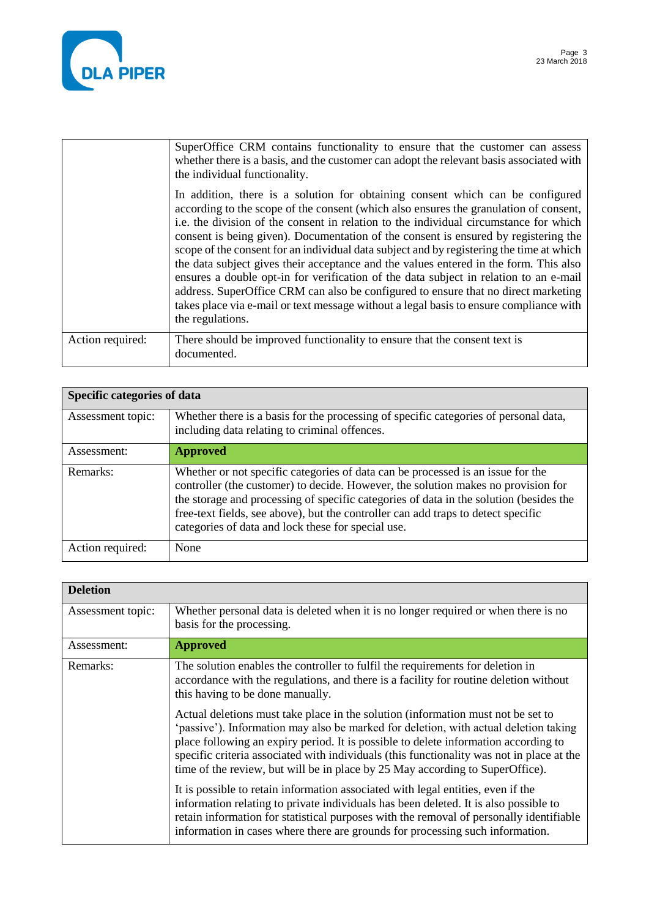

|                  | SuperOffice CRM contains functionality to ensure that the customer can assess<br>whether there is a basis, and the customer can adopt the relevant basis associated with<br>the individual functionality.                                                                                                                                                                                                                                                                                                                                                                                                                                                                                                                                                                                                                                 |
|------------------|-------------------------------------------------------------------------------------------------------------------------------------------------------------------------------------------------------------------------------------------------------------------------------------------------------------------------------------------------------------------------------------------------------------------------------------------------------------------------------------------------------------------------------------------------------------------------------------------------------------------------------------------------------------------------------------------------------------------------------------------------------------------------------------------------------------------------------------------|
|                  | In addition, there is a solution for obtaining consent which can be configured<br>according to the scope of the consent (which also ensures the granulation of consent,<br>i.e. the division of the consent in relation to the individual circumstance for which<br>consent is being given). Documentation of the consent is ensured by registering the<br>scope of the consent for an individual data subject and by registering the time at which<br>the data subject gives their acceptance and the values entered in the form. This also<br>ensures a double opt-in for verification of the data subject in relation to an e-mail<br>address. SuperOffice CRM can also be configured to ensure that no direct marketing<br>takes place via e-mail or text message without a legal basis to ensure compliance with<br>the regulations. |
| Action required: | There should be improved functionality to ensure that the consent text is<br>documented.                                                                                                                                                                                                                                                                                                                                                                                                                                                                                                                                                                                                                                                                                                                                                  |

| <b>Specific categories of data</b> |                                                                                                                                                                                                                                                                                                                                                                                                           |
|------------------------------------|-----------------------------------------------------------------------------------------------------------------------------------------------------------------------------------------------------------------------------------------------------------------------------------------------------------------------------------------------------------------------------------------------------------|
| Assessment topic:                  | Whether there is a basis for the processing of specific categories of personal data,<br>including data relating to criminal offences.                                                                                                                                                                                                                                                                     |
| Assessment:                        | <b>Approved</b>                                                                                                                                                                                                                                                                                                                                                                                           |
| Remarks:                           | Whether or not specific categories of data can be processed is an issue for the<br>controller (the customer) to decide. However, the solution makes no provision for<br>the storage and processing of specific categories of data in the solution (besides the<br>free-text fields, see above), but the controller can add traps to detect specific<br>categories of data and lock these for special use. |
| Action required:                   | None                                                                                                                                                                                                                                                                                                                                                                                                      |

| <b>Deletion</b>   |                                                                                                                                                                                                                                                                                                                                                                                                                                               |
|-------------------|-----------------------------------------------------------------------------------------------------------------------------------------------------------------------------------------------------------------------------------------------------------------------------------------------------------------------------------------------------------------------------------------------------------------------------------------------|
| Assessment topic: | Whether personal data is deleted when it is no longer required or when there is no<br>basis for the processing.                                                                                                                                                                                                                                                                                                                               |
| Assessment:       | <b>Approved</b>                                                                                                                                                                                                                                                                                                                                                                                                                               |
| Remarks:          | The solution enables the controller to fulfil the requirements for deletion in<br>accordance with the regulations, and there is a facility for routine deletion without<br>this having to be done manually.                                                                                                                                                                                                                                   |
|                   | Actual deletions must take place in the solution (information must not be set to<br>'passive'). Information may also be marked for deletion, with actual deletion taking<br>place following an expiry period. It is possible to delete information according to<br>specific criteria associated with individuals (this functionality was not in place at the<br>time of the review, but will be in place by 25 May according to SuperOffice). |
|                   | It is possible to retain information associated with legal entities, even if the<br>information relating to private individuals has been deleted. It is also possible to<br>retain information for statistical purposes with the removal of personally identifiable<br>information in cases where there are grounds for processing such information.                                                                                          |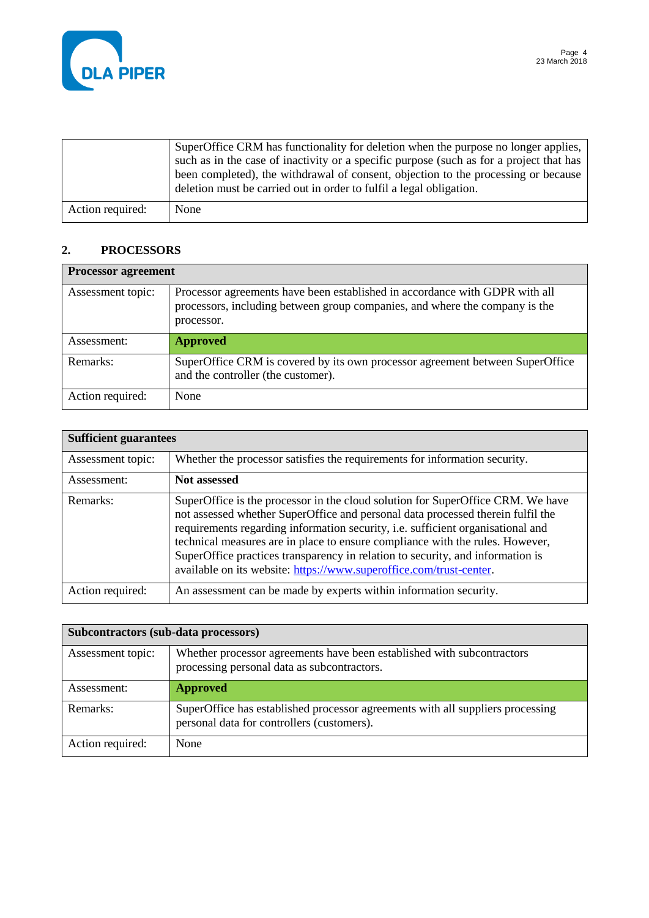

|                  | SuperOffice CRM has functionality for deletion when the purpose no longer applies,<br>such as in the case of inactivity or a specific purpose (such as for a project that has<br>been completed), the withdrawal of consent, objection to the processing or because<br>deletion must be carried out in order to fulfil a legal obligation. |
|------------------|--------------------------------------------------------------------------------------------------------------------------------------------------------------------------------------------------------------------------------------------------------------------------------------------------------------------------------------------|
| Action required: | None                                                                                                                                                                                                                                                                                                                                       |

## **2. PROCESSORS**

| <b>Processor agreement</b> |                                                                                                                                                                          |
|----------------------------|--------------------------------------------------------------------------------------------------------------------------------------------------------------------------|
| Assessment topic:          | Processor agreements have been established in accordance with GDPR with all<br>processors, including between group companies, and where the company is the<br>processor. |
| Assessment:                | <b>Approved</b>                                                                                                                                                          |
| Remarks:                   | SuperOffice CRM is covered by its own processor agreement between SuperOffice<br>and the controller (the customer).                                                      |
| Action required:           | None                                                                                                                                                                     |

| <b>Sufficient guarantees</b> |                                                                                                                                                                                                                                                                                                                                                                                                                                                                                                 |
|------------------------------|-------------------------------------------------------------------------------------------------------------------------------------------------------------------------------------------------------------------------------------------------------------------------------------------------------------------------------------------------------------------------------------------------------------------------------------------------------------------------------------------------|
| Assessment topic:            | Whether the processor satisfies the requirements for information security.                                                                                                                                                                                                                                                                                                                                                                                                                      |
| Assessment:                  | <b>Not assessed</b>                                                                                                                                                                                                                                                                                                                                                                                                                                                                             |
| Remarks:                     | SuperOffice is the processor in the cloud solution for SuperOffice CRM. We have<br>not assessed whether SuperOffice and personal data processed therein fulfil the<br>requirements regarding information security, i.e. sufficient organisational and<br>technical measures are in place to ensure compliance with the rules. However,<br>SuperOffice practices transparency in relation to security, and information is<br>available on its website: https://www.superoffice.com/trust-center. |
| Action required:             | An assessment can be made by experts within information security.                                                                                                                                                                                                                                                                                                                                                                                                                               |

| Subcontractors (sub-data processors) |                                                                                                                              |
|--------------------------------------|------------------------------------------------------------------------------------------------------------------------------|
| Assessment topic:                    | Whether processor agreements have been established with subcontractors<br>processing personal data as subcontractors.        |
| Assessment:                          | <b>Approved</b>                                                                                                              |
| Remarks:                             | SuperOffice has established processor agreements with all suppliers processing<br>personal data for controllers (customers). |
| Action required:                     | None                                                                                                                         |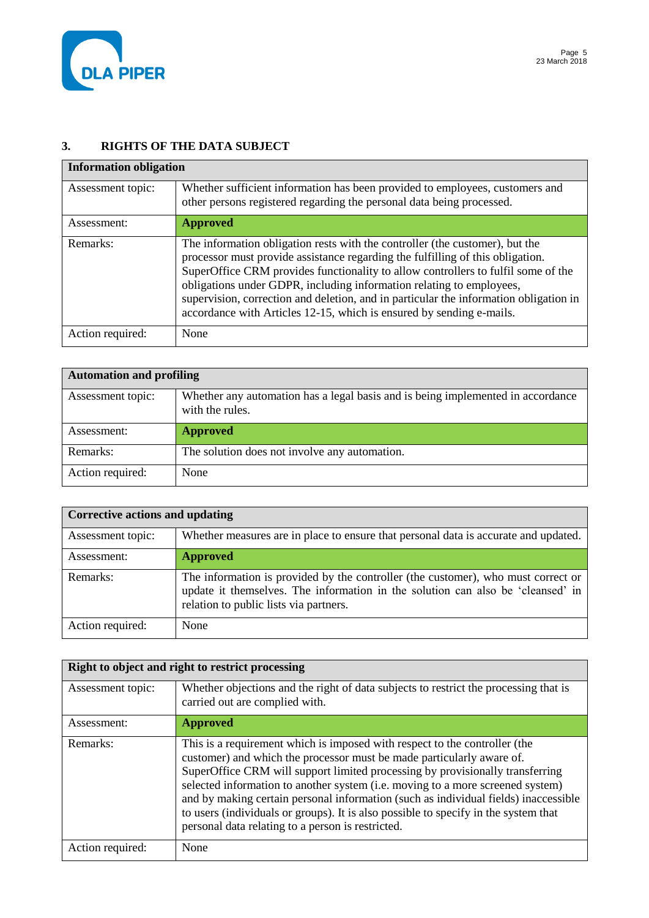

## **3. RIGHTS OF THE DATA SUBJECT**

| <b>Information obligation</b> |                                                                                                                                                                                                                                                                                                                                                                                                                                                                                              |
|-------------------------------|----------------------------------------------------------------------------------------------------------------------------------------------------------------------------------------------------------------------------------------------------------------------------------------------------------------------------------------------------------------------------------------------------------------------------------------------------------------------------------------------|
| Assessment topic:             | Whether sufficient information has been provided to employees, customers and<br>other persons registered regarding the personal data being processed.                                                                                                                                                                                                                                                                                                                                        |
| Assessment:                   | <b>Approved</b>                                                                                                                                                                                                                                                                                                                                                                                                                                                                              |
| Remarks:                      | The information obligation rests with the controller (the customer), but the<br>processor must provide assistance regarding the fulfilling of this obligation.<br>SuperOffice CRM provides functionality to allow controllers to fulfil some of the<br>obligations under GDPR, including information relating to employees,<br>supervision, correction and deletion, and in particular the information obligation in<br>accordance with Articles 12-15, which is ensured by sending e-mails. |
| Action required:              | None                                                                                                                                                                                                                                                                                                                                                                                                                                                                                         |

| <b>Automation and profiling</b> |                                                                                                    |
|---------------------------------|----------------------------------------------------------------------------------------------------|
| Assessment topic:               | Whether any automation has a legal basis and is being implemented in accordance<br>with the rules. |
| Assessment:                     | <b>Approved</b>                                                                                    |
| Remarks:                        | The solution does not involve any automation.                                                      |
| Action required:                | None                                                                                               |

| Corrective actions and updating |                                                                                                                                                                                                                |
|---------------------------------|----------------------------------------------------------------------------------------------------------------------------------------------------------------------------------------------------------------|
| Assessment topic:               | Whether measures are in place to ensure that personal data is accurate and updated.                                                                                                                            |
| Assessment:                     | <b>Approved</b>                                                                                                                                                                                                |
| Remarks:                        | The information is provided by the controller (the customer), who must correct or<br>update it themselves. The information in the solution can also be 'cleansed' in<br>relation to public lists via partners. |
| Action required:                | None                                                                                                                                                                                                           |

| Right to object and right to restrict processing |                                                                                                                                                                                                                                                                                                                                                                                                                                                                                                                                                           |
|--------------------------------------------------|-----------------------------------------------------------------------------------------------------------------------------------------------------------------------------------------------------------------------------------------------------------------------------------------------------------------------------------------------------------------------------------------------------------------------------------------------------------------------------------------------------------------------------------------------------------|
| Assessment topic:                                | Whether objections and the right of data subjects to restrict the processing that is<br>carried out are complied with.                                                                                                                                                                                                                                                                                                                                                                                                                                    |
| Assessment:                                      | <b>Approved</b>                                                                                                                                                                                                                                                                                                                                                                                                                                                                                                                                           |
| Remarks:                                         | This is a requirement which is imposed with respect to the controller (the<br>customer) and which the processor must be made particularly aware of.<br>SuperOffice CRM will support limited processing by provisionally transferring<br>selected information to another system (i.e. moving to a more screened system)<br>and by making certain personal information (such as individual fields) inaccessible<br>to users (individuals or groups). It is also possible to specify in the system that<br>personal data relating to a person is restricted. |
| Action required:                                 | None                                                                                                                                                                                                                                                                                                                                                                                                                                                                                                                                                      |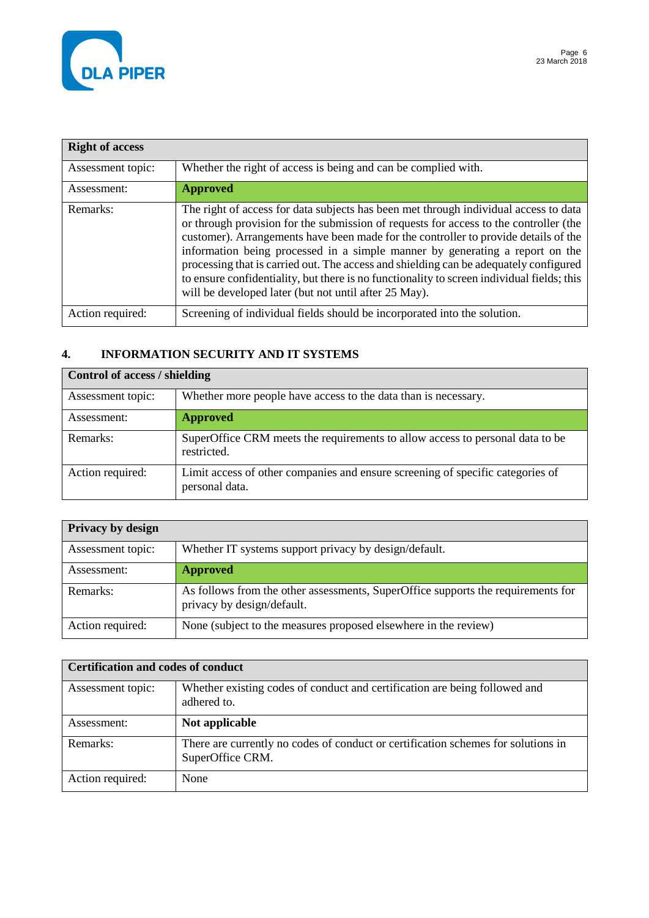

| <b>Right of access</b> |                                                                                                                                                                                                                                                                                                                                                                                                                                                                                                                                                                                                      |
|------------------------|------------------------------------------------------------------------------------------------------------------------------------------------------------------------------------------------------------------------------------------------------------------------------------------------------------------------------------------------------------------------------------------------------------------------------------------------------------------------------------------------------------------------------------------------------------------------------------------------------|
| Assessment topic:      | Whether the right of access is being and can be complied with.                                                                                                                                                                                                                                                                                                                                                                                                                                                                                                                                       |
| Assessment:            | <b>Approved</b>                                                                                                                                                                                                                                                                                                                                                                                                                                                                                                                                                                                      |
| Remarks:               | The right of access for data subjects has been met through individual access to data<br>or through provision for the submission of requests for access to the controller (the<br>customer). Arrangements have been made for the controller to provide details of the<br>information being processed in a simple manner by generating a report on the<br>processing that is carried out. The access and shielding can be adequately configured<br>to ensure confidentiality, but there is no functionality to screen individual fields; this<br>will be developed later (but not until after 25 May). |
| Action required:       | Screening of individual fields should be incorporated into the solution.                                                                                                                                                                                                                                                                                                                                                                                                                                                                                                                             |

# **4. INFORMATION SECURITY AND IT SYSTEMS**

| Control of access / shielding |                                                                                                  |
|-------------------------------|--------------------------------------------------------------------------------------------------|
| Assessment topic:             | Whether more people have access to the data than is necessary.                                   |
| Assessment:                   | <b>Approved</b>                                                                                  |
| Remarks:                      | SuperOffice CRM meets the requirements to allow access to personal data to be<br>restricted.     |
| Action required:              | Limit access of other companies and ensure screening of specific categories of<br>personal data. |

| <b>Privacy by design</b> |                                                                                                                |
|--------------------------|----------------------------------------------------------------------------------------------------------------|
| Assessment topic:        | Whether IT systems support privacy by design/default.                                                          |
| Assessment:              | <b>Approved</b>                                                                                                |
| Remarks:                 | As follows from the other assessments, SuperOffice supports the requirements for<br>privacy by design/default. |
| Action required:         | None (subject to the measures proposed elsewhere in the review)                                                |

| <b>Certification and codes of conduct</b> |                                                                                                       |
|-------------------------------------------|-------------------------------------------------------------------------------------------------------|
| Assessment topic:                         | Whether existing codes of conduct and certification are being followed and<br>adhered to.             |
| Assessment:                               | Not applicable                                                                                        |
| Remarks:                                  | There are currently no codes of conduct or certification schemes for solutions in<br>SuperOffice CRM. |
| Action required:                          | None                                                                                                  |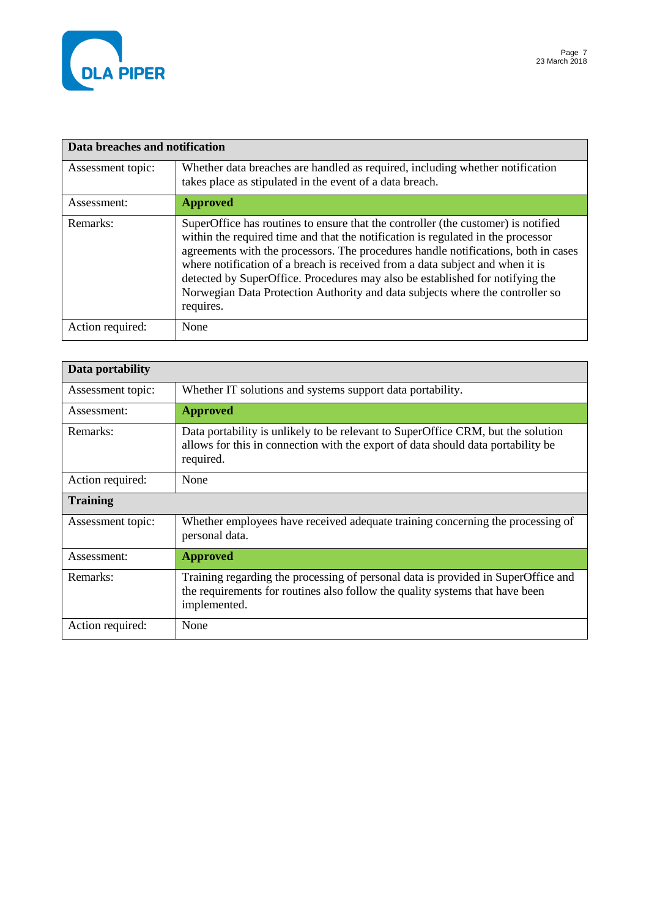

| Data breaches and notification |                                                                                                                                                                                                                                                                                                                                                                                                                                                                                                                             |
|--------------------------------|-----------------------------------------------------------------------------------------------------------------------------------------------------------------------------------------------------------------------------------------------------------------------------------------------------------------------------------------------------------------------------------------------------------------------------------------------------------------------------------------------------------------------------|
| Assessment topic:              | Whether data breaches are handled as required, including whether notification<br>takes place as stipulated in the event of a data breach.                                                                                                                                                                                                                                                                                                                                                                                   |
| Assessment:                    | <b>Approved</b>                                                                                                                                                                                                                                                                                                                                                                                                                                                                                                             |
| Remarks:                       | SuperOffice has routines to ensure that the controller (the customer) is notified<br>within the required time and that the notification is regulated in the processor<br>agreements with the processors. The procedures handle notifications, both in cases<br>where notification of a breach is received from a data subject and when it is<br>detected by SuperOffice. Procedures may also be established for notifying the<br>Norwegian Data Protection Authority and data subjects where the controller so<br>requires. |
| Action required:               | None                                                                                                                                                                                                                                                                                                                                                                                                                                                                                                                        |

| Data portability  |                                                                                                                                                                                   |
|-------------------|-----------------------------------------------------------------------------------------------------------------------------------------------------------------------------------|
| Assessment topic: | Whether IT solutions and systems support data portability.                                                                                                                        |
| Assessment:       | <b>Approved</b>                                                                                                                                                                   |
| Remarks:          | Data portability is unlikely to be relevant to SuperOffice CRM, but the solution<br>allows for this in connection with the export of data should data portability be<br>required. |
| Action required:  | None                                                                                                                                                                              |
| <b>Training</b>   |                                                                                                                                                                                   |
| Assessment topic: | Whether employees have received adequate training concerning the processing of<br>personal data.                                                                                  |
| Assessment:       | <b>Approved</b>                                                                                                                                                                   |
| Remarks:          | Training regarding the processing of personal data is provided in SuperOffice and<br>the requirements for routines also follow the quality systems that have been<br>implemented. |
| Action required:  | None                                                                                                                                                                              |